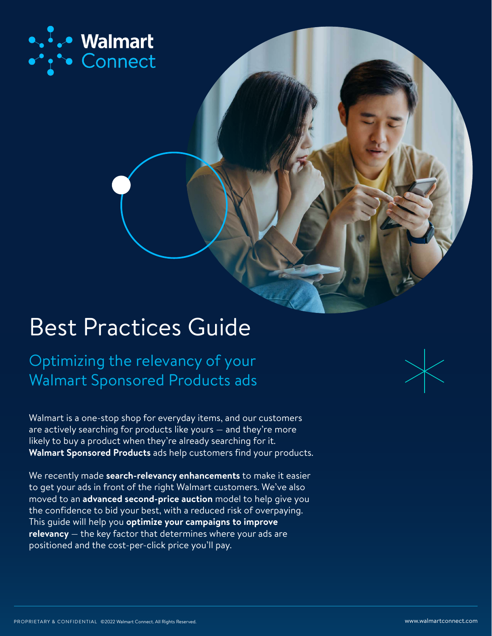

# Best Practices Guide

Optimizing the relevancy of your Walmart Sponsored Products ads

Walmart is a one-stop shop for everyday items, and our customers are actively searching for products like yours — and they're more likely to buy a product when they're already searching for it. **Walmart Sponsored Products** ads help customers find your products.

We recently made **search-relevancy enhancements** to make it easier to get your ads in front of the right Walmart customers. We've also moved to an **advanced second-price auction** model to help give you the confidence to bid your best, with a reduced risk of overpaying. This guide will help you **optimize your campaigns to improve relevancy** — the key factor that determines where your ads are positioned and the cost-per-click price you'll pay.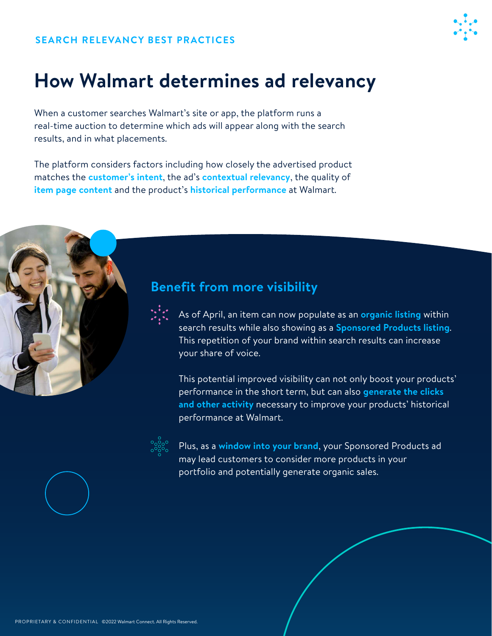

# **How Walmart determines ad relevancy**

When a customer searches Walmart's site or app, the platform runs a real-time auction to determine which ads will appear along with the search results, and in what placements.

The platform considers factors including how closely the advertised product matches the **customer's intent**, the ad's **contextual relevancy**, the quality of **item page content** and the product's **historical performance** at Walmart.



As of April, an item can now populate as an **organic listing** within search results while also showing as a **Sponsored Products listing**. This repetition of your brand within search results can increase your share of voice.

This potential improved visibility can not only boost your products' performance in the short term, but can also **generate the clicks and other activity** necessary to improve your products' historical performance at Walmart.



Plus, as a **window into your brand**, your Sponsored Products ad may lead customers to consider more products in your portfolio and potentially generate organic sales.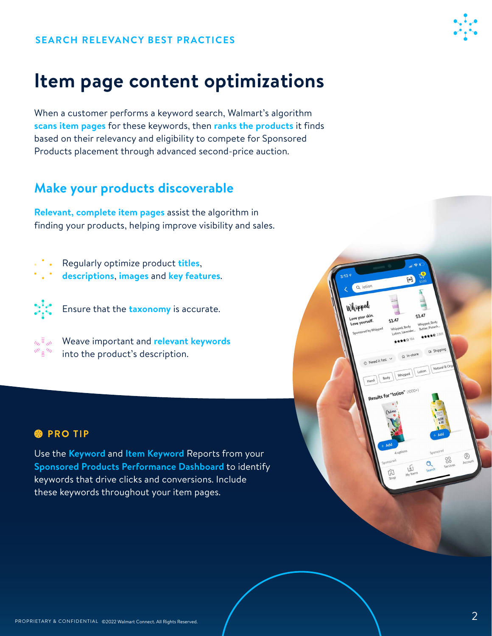### **SEARCH RELEVANCY BEST PRACTICES**

# **Item page content optimizations**

When a customer performs a keyword search, Walmart's algorithm **scans item pages** for these keywords, then **ranks the products** it finds based on their relevancy and eligibility to compete for Sponsored Products placement through advanced second-price auction.

## **Make your products discoverable**

**Relevant, complete item pages** assist the algorithm in finding your products, helping improve visibility and sales.

- Regularly optimize product **titles**,
- **descriptions**, **images** and **key features**.



Ensure that the **taxonomy** is accurate.

| Weave important and relevant keywords |
|---------------------------------------|
| into the product's description.       |

### **@** PRO TIP

Use the **Keyword** and **Item Keyword** Reports from your **Sponsored Products Performance Dashboard** to identify keywords that drive clicks and conversions. Include these keywords throughout your item pages.

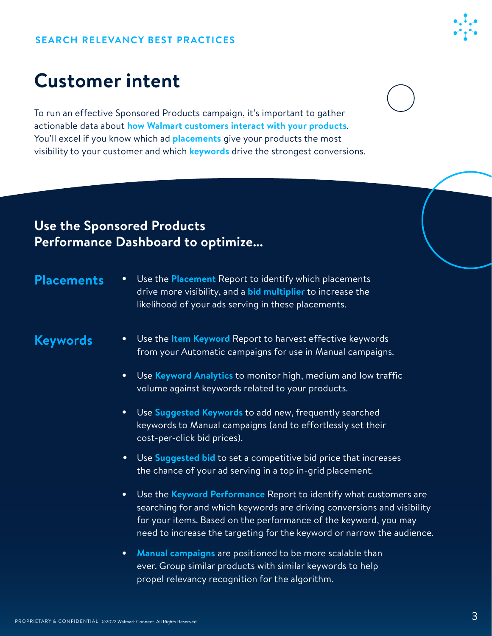# **Customer intent**

To run an effective Sponsored Products campaign, it's important to gather actionable data about **how Walmart customers interact with your products**. You'll excel if you know which ad **placements** give your products the most visibility to your customer and which **keywords** drive the strongest conversions.

## **Use the Sponsored Products Performance Dashboard to optimize...**

**Placements** • Use the **Placement** Report to identify which placements drive more visibility, and a **bid multiplier** to increase the likelihood of your ads serving in these placements.

### **Keywords**

- Use the **Item Keyword** Report to harvest effective keywords from your Automatic campaigns for use in Manual campaigns.
- $\bullet$ Use **Keyword Analytics** to monitor high, medium and low traffic volume against keywords related to your products.
- Use **Suggested Keywords** to add new, frequently searched  $\bullet$ keywords to Manual campaigns (and to effortlessly set their cost-per-click bid prices).
- Use **Suggested bid** to set a competitive bid price that increases the chance of your ad serving in a top in-grid placement.
- Use the **Keyword Performance** Report to identify what customers are  $\bullet$ searching for and which keywords are driving conversions and visibility for your items. Based on the performance of the keyword, you may need to increase the targeting for the keyword or narrow the audience.
- **Manual campaigns** are positioned to be more scalable than ever. Group similar products with similar keywords to help propel relevancy recognition for the algorithm.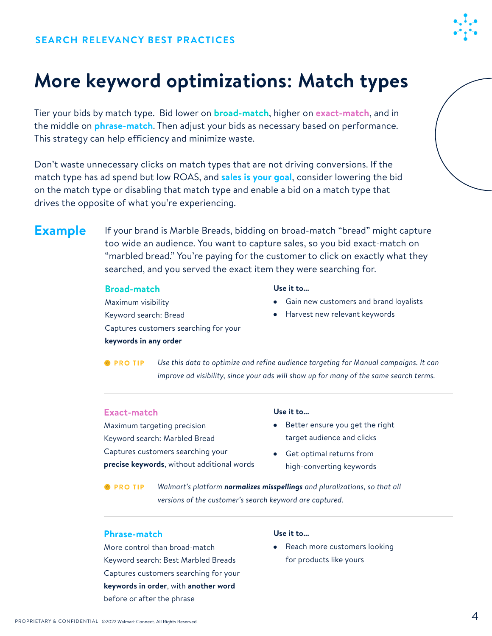

# **More keyword optimizations: Match types**

Tier your bids by match type. Bid lower on **broad-match**, higher on **exact-match**, and in the middle on **phrase-match**. Then adjust your bids as necessary based on performance. This strategy can help efficiency and minimize waste.

Don't waste unnecessary clicks on match types that are not driving conversions. If the match type has ad spend but low ROAS, and **sales is your goal**, consider lowering the bid on the match type or disabling that match type and enable a bid on a match type that drives the opposite of what you're experiencing.

**Example** If your brand is Marble Breads, bidding on broad-match "bread" might capture too wide an audience. You want to capture sales, so you bid exact-match on "marbled bread." You're paying for the customer to click on exactly what they searched, and you served the exact item they were searching for.

#### **Broad-match**

Maximum visibility

Keyword search: Bread

Captures customers searching for your

#### **keywords in any order**

#### **Use it to...**

- Gain new customers and brand loyalists
- Harvest new relevant keywords

*Use this data to optimize and refine audience targeting for Manual campaigns. It can*  **@ PRO TIP** *improve ad visibility, since your ads will show up for many of the same search terms.*

#### **Exact-match**

Maximum targeting precision Keyword search: Marbled Bread Captures customers searching your **precise keywords**, without additional words

#### **Use it to...**

- **Better ensure you get the right** target audience and clicks
- Get optimal returns from high-converting keywords

**@ PRO TIP** *Walmart's platform normalizes misspellings and pluralizations, so that all versions of the customer's search keyword are captured.*

#### **Phrase-match**

More control than broad-match Keyword search: Best Marbled Breads Captures customers searching for your **keywords in order**, with **another word** before or after the phrase

#### **Use it to...**

• Reach more customers looking for products like yours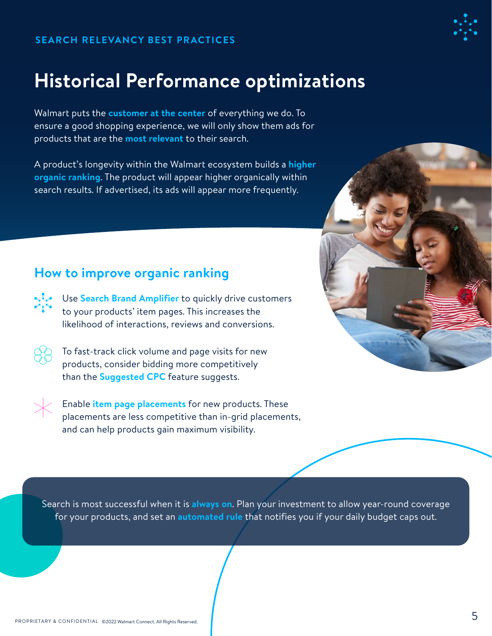# **Historical Performance optimizations**

Walmart puts the **customer at the center** of everything we do. To ensure a good shopping experience, we will only show them ads for products that are the **most relevant** to their search.

A product's longevity within the Walmart ecosystem builds a **higher organic ranking**. The product will appear higher organically within search results. If advertised, its ads will appear more frequently.

## **How to improve organic ranking**

- Use **Search Brand Amplifier** to quickly drive customers to your products' item pages. This increases the likelihood of interactions, reviews and conversions.
- To fast-track click volume and page visits for new products, consider bidding more competitively than the **Suggested CPC** feature suggests.
- Enable **item page placements** for new products. These placements are less competitive than in-grid placements, and can help products gain maximum visibility.

Search is most successful when it is **always on**. Plan your investment to allow year-round coverage for your products, and set an **automated rule** that notifies you if your daily budget caps out.



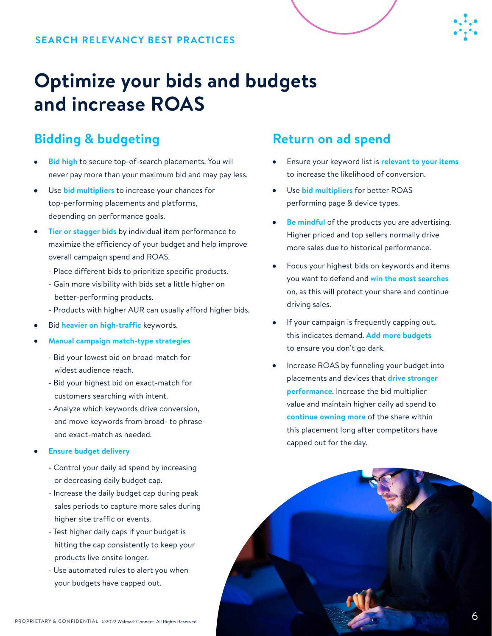# **Optimize your bids and budgets and increase ROAS**

## **Bidding & budgeting**

- **Bid high** to secure top-of-search placements. You will never pay more than your maximum bid and may pay less.
- Use **bid multipliers** to increase your chances for top-performing placements and platforms, depending on performance goals.
- **Tier or stagger bids** by individual item performance to maximize the efficiency of your budget and help improve overall campaign spend and ROAS.
	- Place different bids to prioritize specific products.
	- Gain more visibility with bids set a little higher on better-performing products.
	- Products with higher AUR can usually afford higher bids.
- Bid **heavier on high-traffic** keywords.
- **Manual campaign match-type strategies**
	- Bid your lowest bid on broad-match for widest audience reach.
	- Bid your highest bid on exact-match for customers searching with intent.
	- Analyze which keywords drive conversion, and move keywords from broad- to phrase and exact-match as needed.
- **Ensure budget delivery**
	- Control your daily ad spend by increasing or decreasing daily budget cap.
	- Increase the daily budget cap during peak sales periods to capture more sales during higher site traffic or events.
	- Test higher daily caps if your budget is hitting the cap consistently to keep your products live onsite longer.
	- Use automated rules to alert you when your budgets have capped out.

### **Return on ad spend**

- Ensure your keyword list is **relevant to your items** to increase the likelihood of conversion.
- Use **bid multipliers** for better ROAS performing page & device types.
- **Be mindful** of the products you are advertising. Higher priced and top sellers normally drive more sales due to historical performance.
- Focus your highest bids on keywords and items you want to defend and **win the most searches** on, as this will protect your share and continue driving sales.
- If your campaign is frequently capping out, this indicates demand. **Add more budgets** to ensure you don't go dark.
- Increase ROAS by funneling your budget into placements and devices that **drive stronger performance**. Increase the bid multiplier value and maintain higher daily ad spend to **continue owning more** of the share within this placement long after competitors have capped out for the day.